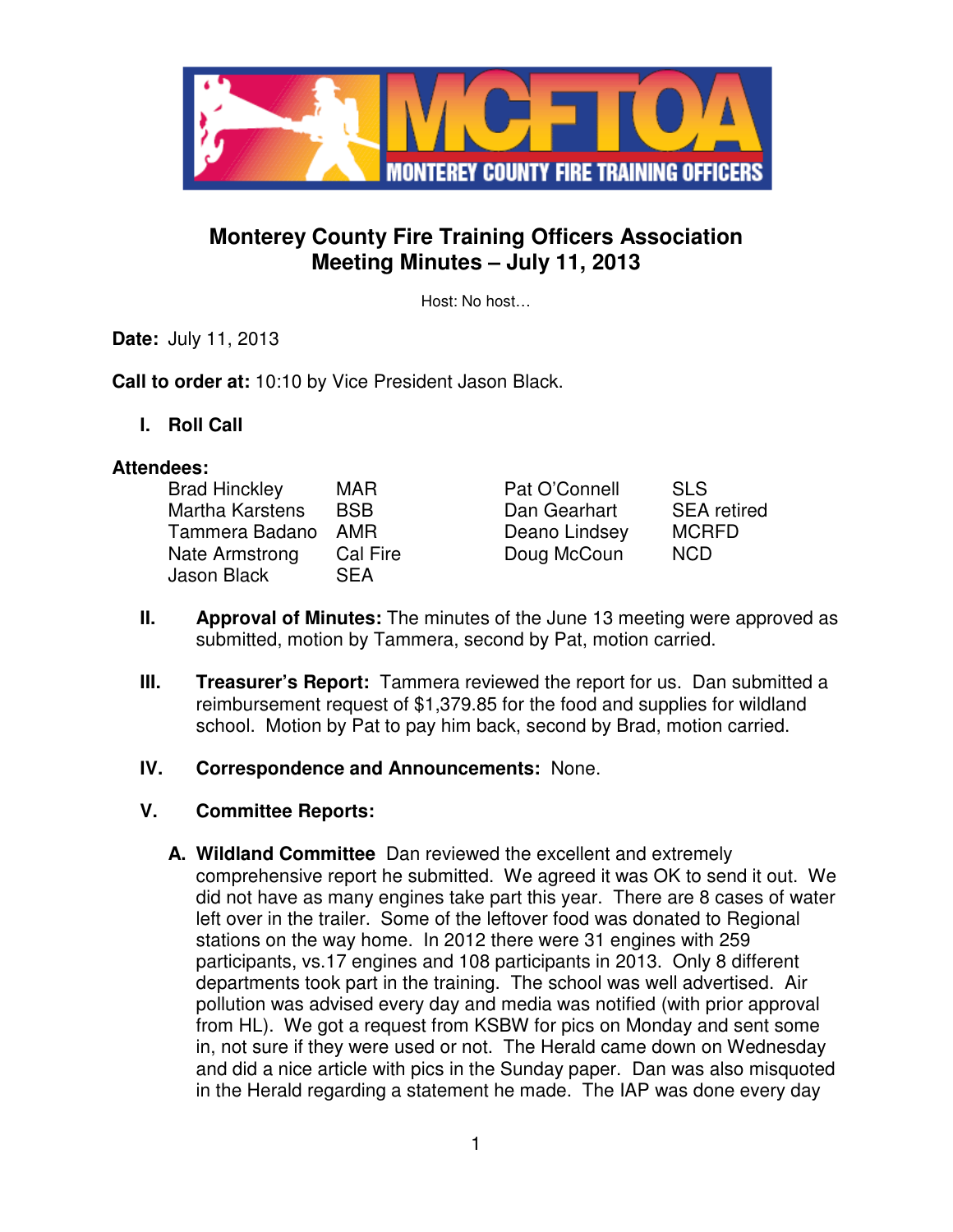

## **Monterey County Fire Training Officers Association Meeting Minutes – July 11, 2013**

Host: No host…

**Date:** July 11, 2013

**Call to order at:** 10:10 by Vice President Jason Black.

**I. Roll Call** 

#### **Attendees:**

| <b>Brad Hinckley</b>          | <b>MAR</b>             | Pat O'Connell | <b>SLS</b>         |
|-------------------------------|------------------------|---------------|--------------------|
| Martha Karstens               | <b>BSB</b>             | Dan Gearhart  | <b>SEA</b> retired |
| Tammera Badano                | <b>AMR</b>             | Deano Lindsey | <b>MCRFD</b>       |
| Nate Armstrong<br>Jason Black | Cal Fire<br><b>SEA</b> | Doug McCoun   | <b>NCD</b>         |

- **II. Approval of Minutes:** The minutes of the June 13 meeting were approved as submitted, motion by Tammera, second by Pat, motion carried.
- **III.** Treasurer's Report: Tammera reviewed the report for us. Dan submitted a reimbursement request of \$1,379.85 for the food and supplies for wildland school. Motion by Pat to pay him back, second by Brad, motion carried.
- **IV. Correspondence and Announcements:** None.
- **V. Committee Reports:**
	- **A. Wildland Committee** Dan reviewed the excellent and extremely comprehensive report he submitted. We agreed it was OK to send it out. We did not have as many engines take part this year. There are 8 cases of water left over in the trailer. Some of the leftover food was donated to Regional stations on the way home. In 2012 there were 31 engines with 259 participants, vs.17 engines and 108 participants in 2013. Only 8 different departments took part in the training. The school was well advertised. Air pollution was advised every day and media was notified (with prior approval from HL). We got a request from KSBW for pics on Monday and sent some in, not sure if they were used or not. The Herald came down on Wednesday and did a nice article with pics in the Sunday paper. Dan was also misquoted in the Herald regarding a statement he made. The IAP was done every day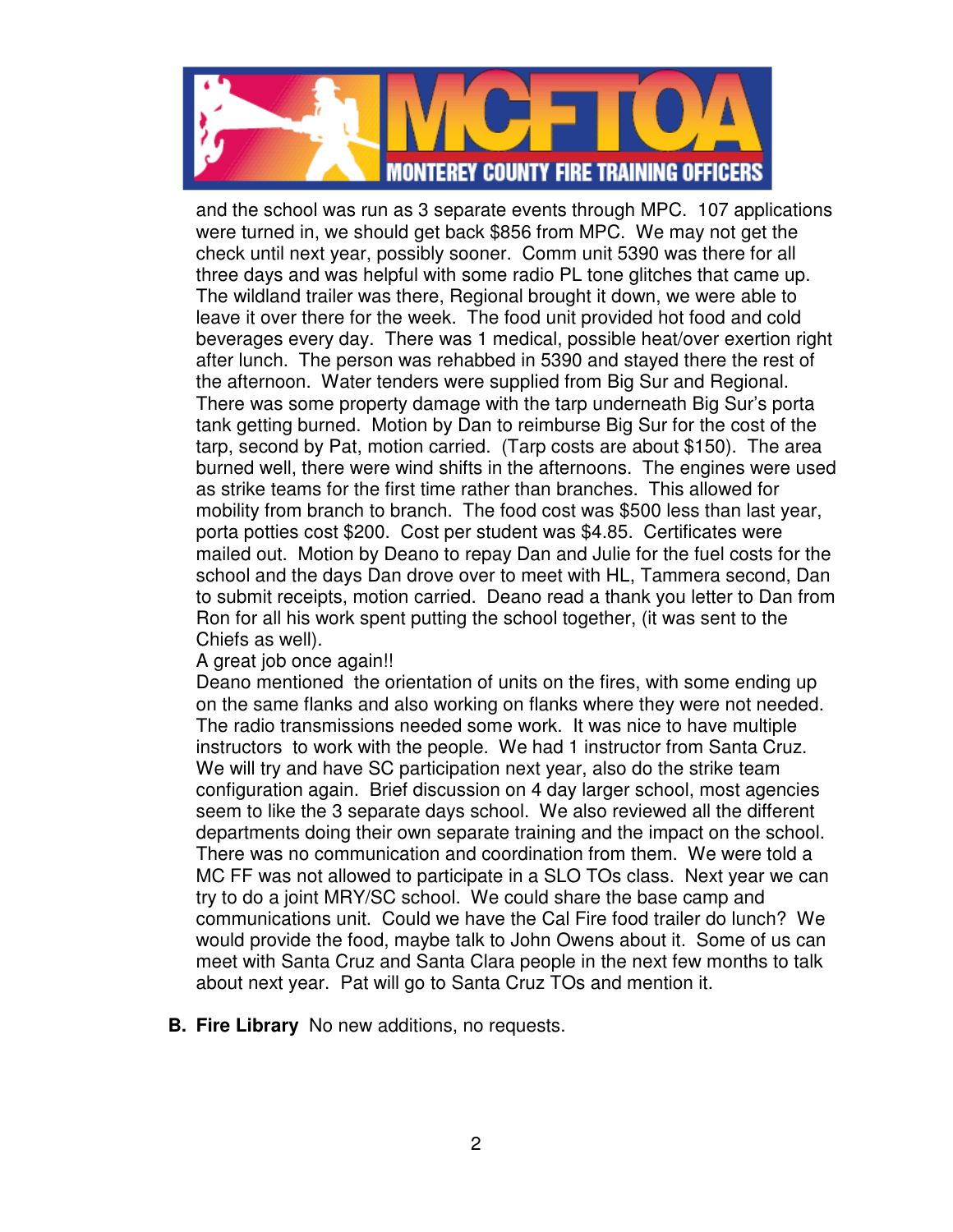

and the school was run as 3 separate events through MPC. 107 applications were turned in, we should get back \$856 from MPC. We may not get the check until next year, possibly sooner. Comm unit 5390 was there for all three days and was helpful with some radio PL tone glitches that came up. The wildland trailer was there, Regional brought it down, we were able to leave it over there for the week. The food unit provided hot food and cold beverages every day. There was 1 medical, possible heat/over exertion right after lunch. The person was rehabbed in 5390 and stayed there the rest of the afternoon. Water tenders were supplied from Big Sur and Regional. There was some property damage with the tarp underneath Big Sur's porta tank getting burned. Motion by Dan to reimburse Big Sur for the cost of the tarp, second by Pat, motion carried. (Tarp costs are about \$150). The area burned well, there were wind shifts in the afternoons. The engines were used as strike teams for the first time rather than branches. This allowed for mobility from branch to branch. The food cost was \$500 less than last year, porta potties cost \$200. Cost per student was \$4.85. Certificates were mailed out. Motion by Deano to repay Dan and Julie for the fuel costs for the school and the days Dan drove over to meet with HL, Tammera second, Dan to submit receipts, motion carried. Deano read a thank you letter to Dan from Ron for all his work spent putting the school together, (it was sent to the Chiefs as well).

#### A great job once again!!

Deano mentioned the orientation of units on the fires, with some ending up on the same flanks and also working on flanks where they were not needed. The radio transmissions needed some work. It was nice to have multiple instructors to work with the people. We had 1 instructor from Santa Cruz. We will try and have SC participation next year, also do the strike team configuration again. Brief discussion on 4 day larger school, most agencies seem to like the 3 separate days school. We also reviewed all the different departments doing their own separate training and the impact on the school. There was no communication and coordination from them. We were told a MC FF was not allowed to participate in a SLO TOs class. Next year we can try to do a joint MRY/SC school. We could share the base camp and communications unit. Could we have the Cal Fire food trailer do lunch? We would provide the food, maybe talk to John Owens about it. Some of us can meet with Santa Cruz and Santa Clara people in the next few months to talk about next year. Pat will go to Santa Cruz TOs and mention it.

**B. Fire Library** No new additions, no requests.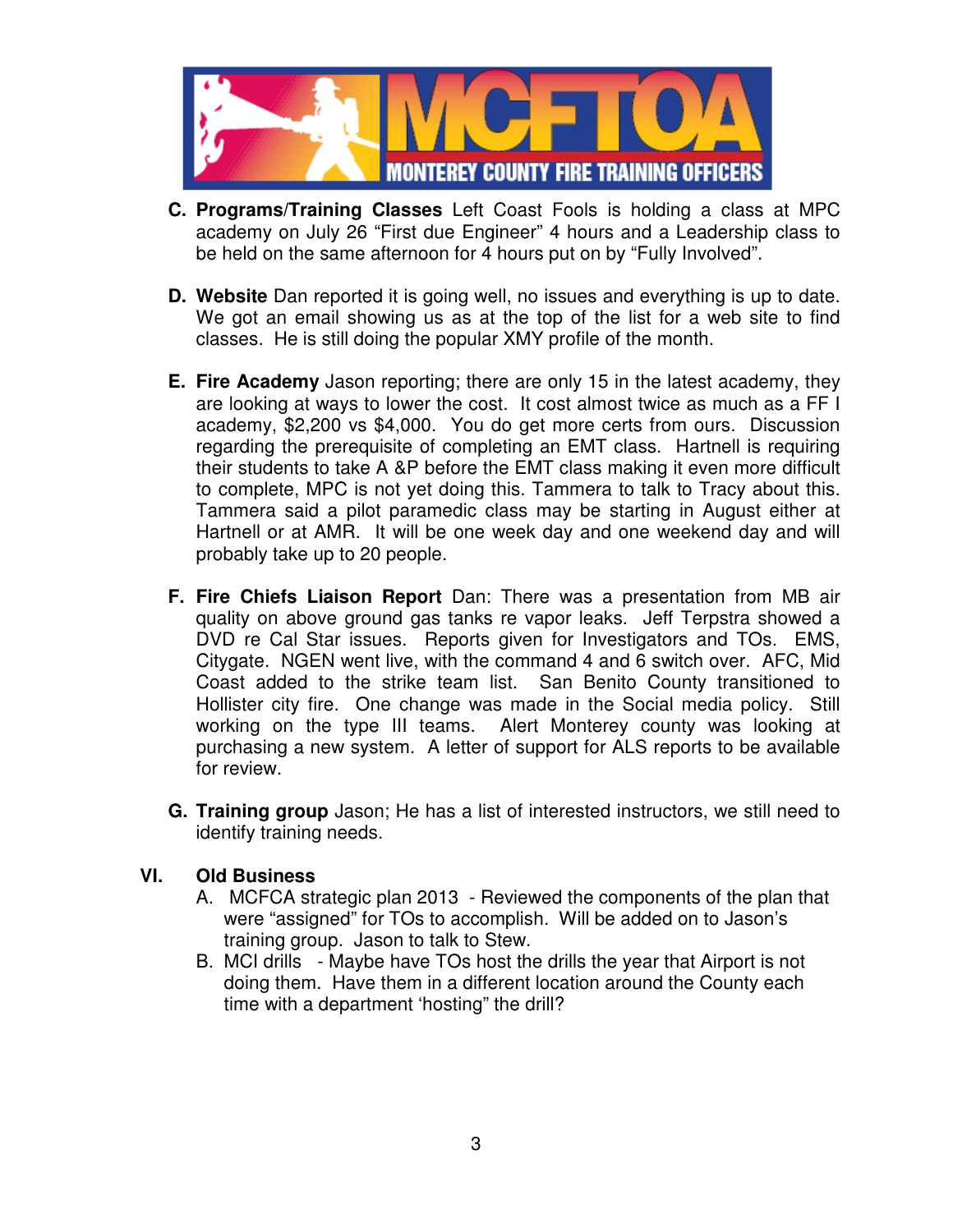

- **C. Programs/Training Classes** Left Coast Fools is holding a class at MPC academy on July 26 "First due Engineer" 4 hours and a Leadership class to be held on the same afternoon for 4 hours put on by "Fully Involved".
- **D. Website** Dan reported it is going well, no issues and everything is up to date. We got an email showing us as at the top of the list for a web site to find classes. He is still doing the popular XMY profile of the month.
- **E. Fire Academy** Jason reporting; there are only 15 in the latest academy, they are looking at ways to lower the cost. It cost almost twice as much as a FF I academy, \$2,200 vs \$4,000. You do get more certs from ours. Discussion regarding the prerequisite of completing an EMT class. Hartnell is requiring their students to take A &P before the EMT class making it even more difficult to complete, MPC is not yet doing this. Tammera to talk to Tracy about this. Tammera said a pilot paramedic class may be starting in August either at Hartnell or at AMR. It will be one week day and one weekend day and will probably take up to 20 people.
- **F. Fire Chiefs Liaison Report** Dan: There was a presentation from MB air quality on above ground gas tanks re vapor leaks. Jeff Terpstra showed a DVD re Cal Star issues. Reports given for Investigators and TOs. EMS, Citygate. NGEN went live, with the command 4 and 6 switch over.AFC, Mid Coast added to the strike team list. San Benito County transitioned to Hollister city fire. One change was made in the Social media policy. Still working on the type III teams. Alert Monterey county was looking at purchasing a new system. A letter of support for ALS reports to be available for review.
- **G. Training group** Jason; He has a list of interested instructors, we still need to identify training needs.

### **VI. Old Business**

- A. MCFCA strategic plan 2013 Reviewed the components of the plan that were "assigned" for TOs to accomplish. Will be added on to Jason's training group. Jason to talk to Stew.
- B. MCI drills Maybe have TOs host the drills the year that Airport is not doing them. Have them in a different location around the County each time with a department 'hosting" the drill?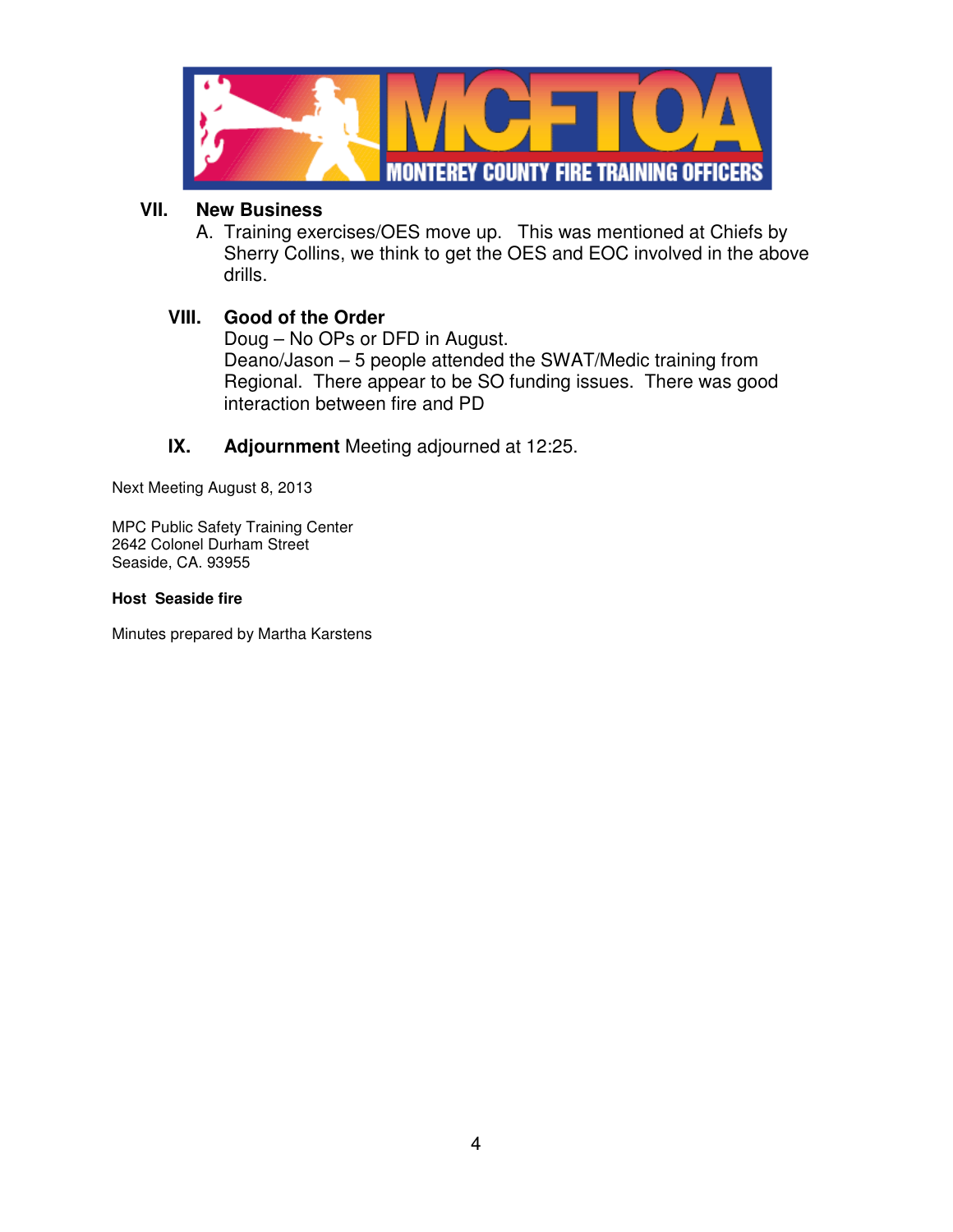

#### **VII. New Business**

A. Training exercises/OES move up. This was mentioned at Chiefs by Sherry Collins, we think to get the OES and EOC involved in the above drills.

### **VIII. Good of the Order**

Doug – No OPs or DFD in August. Deano/Jason – 5 people attended the SWAT/Medic training from Regional. There appear to be SO funding issues. There was good interaction between fire and PD

### **IX. Adjournment** Meeting adjourned at 12:25.

Next Meeting August 8, 2013

MPC Public Safety Training Center 2642 Colonel Durham Street Seaside, CA. 93955

#### **Host Seaside fire**

Minutes prepared by Martha Karstens